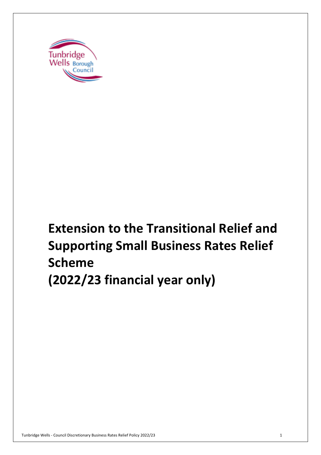

# **Extension to the Transitional Relief and Supporting Small Business Rates Relief Scheme (2022/23 financial year only)**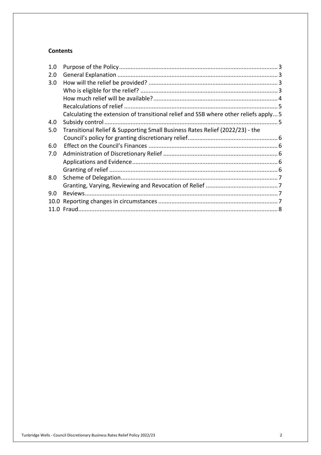#### **Contents**

| Transitional Relief & Supporting Small Business Rates Relief (2022/23) - the |                                                                                      |
|------------------------------------------------------------------------------|--------------------------------------------------------------------------------------|
|                                                                              |                                                                                      |
|                                                                              |                                                                                      |
|                                                                              |                                                                                      |
|                                                                              |                                                                                      |
|                                                                              |                                                                                      |
|                                                                              |                                                                                      |
|                                                                              |                                                                                      |
|                                                                              |                                                                                      |
|                                                                              |                                                                                      |
|                                                                              |                                                                                      |
|                                                                              | Calculating the extension of transitional relief and SSB where other reliefs apply 5 |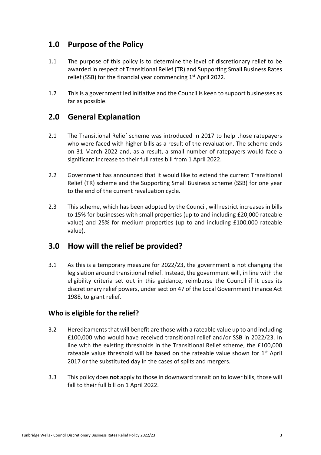## **1.0 Purpose of the Policy**

- 1.1 The purpose of this policy is to determine the level of discretionary relief to be awarded in respect of Transitional Relief (TR) and Supporting Small Business Rates relief (SSB) for the financial year commencing  $1<sup>st</sup>$  April 2022.
- 1.2 This is a government led initiative and the Council is keen to support businesses as far as possible.

## **2.0 General Explanation**

- 2.1 The Transitional Relief scheme was introduced in 2017 to help those ratepayers who were faced with higher bills as a result of the revaluation. The scheme ends on 31 March 2022 and, as a result, a small number of ratepayers would face a significant increase to their full rates bill from 1 April 2022.
- 2.2 Government has announced that it would like to extend the current Transitional Relief (TR) scheme and the Supporting Small Business scheme (SSB) for one year to the end of the current revaluation cycle.
- $2.3$  to 15% for businesses with small properties (up to and including £20,000 rateable value) and 25% for medium properties (up to and including £100,000 rateable 2.3 This scheme, which has been adopted by the Council, will restrict increases in bills value).

## **3.0 How will the relief be provided?**

 $3.1$  legislation around transitional relief. Instead, the government will, in line with the eligibility criteria set out in this guidance, reimburse the Council if it uses its discretionary relief powers, under section 47 of the Local Government Finance Act 1988, to grant relief. As this is a temporary measure for 2022/23, the government is not changing the

#### **Who is eligible for the relief?**

- 3.2 Hereditaments that will benefit are those with a rateable value up to and including £100,000 who would have received transitional relief and/or SSB in 2022/23. In line with the existing thresholds in the Transitional Relief scheme, the £100,000 rateable value threshold will be based on the rateable value shown for  $1<sup>st</sup>$  April 2017 or the substituted day in the cases of splits and mergers.
- 3.3 This policy does **not** apply to those in downward transition to lower bills, those will fall to their full bill on 1 April 2022.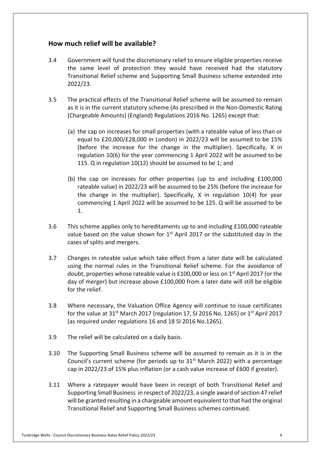#### **How much relief will be available?**

- 3.4 Government will fund the discretionary relief to ensure eligible properties receive the same level of protection they would have received had the statutory Transitional Relief scheme and Supporting Small Business scheme extended into 2022/23.
- $3.5$  as it is in the current statutory scheme (As prescribed in the Non-Domestic Rating (Chargeable Amounts) (England) Regulations 2016 No. 1265) except that: The practical effects of the Transitional Relief scheme will be assumed to remain
	- (a) the cap on increases for small properties (with a rateable value of less than or equal to £20,000/£28,000 in London) in 2022/23 will be assumed to be 15% (before the increase for the change in the multiplier). Specifically, X in regulation 10(6) for the year commencing 1 April 2022 will be assumed to be 115. Q in regulation 10(12) should be assumed to be 1; and
	- (b) the cap on increases for other properties (up to and including £100,000 rateable value) in 2022/23 will be assumed to be 25% (before the increase for the change in the multiplier). Specifically, X in regulation 10(4) for year commencing 1 April 2022 will be assumed to be 125. Q will be assumed to be 1.
- $3.6$ value based on the value shown for  $1<sup>st</sup>$  April 2017 or the substituted day in the cases of splits and mergers. This scheme applies only to hereditaments up to and including £100,000 rateable
- $3.7$  using the normal rules in the Transitional Relief scheme. For the avoidance of doubt, properties whose rateable value is £100,000 or less on 1<sup>st</sup> April 2017 (or the day of merger) but increase above £100,000 from a later date will still be eligible for the relief. 3.7 Changes in rateable value which take effect from a later date will be calculated
- $3.8$ for the value at 31<sup>st</sup> March 2017 (regulation 17, SI 2016 No. 1265) or 1<sup>st</sup> April 2017 (as required under regulations 16 and 18 SI 2016 No.1265). 3.8 Where necessary, the Valuation Office Agency will continue to issue certificates
- $3.9$ The relief will be calculated on a daily basis.
- 3.10 The Supporting Small Business scheme will be assumed to remain as it is in the Council's current scheme (for periods up to  $31<sup>st</sup>$  March 2022) with a percentage cap in 2022/23 of 15% plus inflation (or a cash value increase of £600 if greater).
- $3.11$  Supporting Small Business in respect of 2022/23, a single award of section 47 relief will be granted resulting in a chargeable amount equivalent to that had the original Transitional Relief and Supporting Small Business schemes continued. Where a ratepayer would have been in receipt of both Transitional Relief and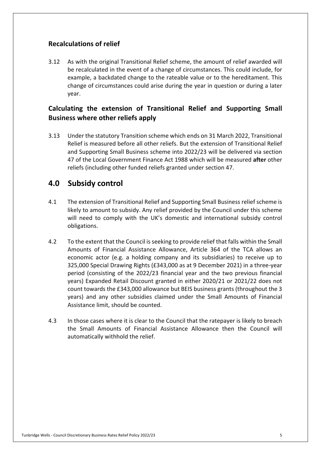#### **Recalculations of relief**

 $3.12$  be recalculated in the event of a change of circumstances. This could include, for example, a backdated change to the rateable value or to the hereditament. This change of circumstances could arise during the year in question or during a later As with the original Transitional Relief scheme, the amount of relief awarded will year.

#### **Calculating the extension of Transitional Relief and Supporting Small Business where other reliefs apply**

 $3.13$  Relief is measured before all other reliefs. But the extension of Transitional Relief and Supporting Small Business scheme into 2022/23 will be delivered via section 47 of the Local Government Finance Act 1988 which will be measured **after** other reliefs (including other funded reliefs granted under section 47. Under the statutory Transition scheme which ends on 31 March 2022, Transitional

### **4.0 Subsidy control**

- $4.1$  likely to amount to subsidy. Any relief provided by the Council under this scheme will need to comply with the UK's domestic and international subsidy control obligations. The extension of Transitional Relief and Supporting Small Business relief scheme is
- $4.2$  Amounts of Financial Assistance Allowance, Article 364 of the TCA allows an economic actor (e.g. a holding company and its subsidiaries) to receive up to 325,000 Special Drawing Rights (£343,000 as at 9 December 2021) in a three-year period (consisting of the 2022/23 financial year and the two previous financial years) Expanded Retail Discount granted in either 2020/21 or 2021/22 does not count towards the £343,000 allowance but BEIS business grants (throughout the 3 years) and any other subsidies claimed under the Small Amounts of Financial Assistance limit, should be counted. To the extent that the Council is seeking to provide relief that falls within the Small
- $4.3$  the Small Amounts of Financial Assistance Allowance then the Council will automatically withhold the relief. In those cases where it is clear to the Council that the ratepayer is likely to breach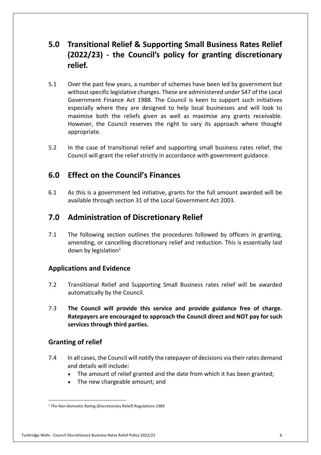## **5.0 Transitional Relief & Supporting Small Business Rates Relief (2022/23) - the Council's policy for granting discretionary relief.**

- $5.1$  without specific legislative changes. These are administered under S47 of the Local Government Finance Act 1988. The Council is keen to support such initiatives especially where they are designed to help local businesses and will look to maximise both the reliefs given as well as maximise any grants receivable. However, the Council reserves the right to vary its approach where thought Over the past few years, a number of schemes have been led by government but appropriate.
- 52 Council will grant the relief strictly in accordance with government guidance. In the case of transitional relief and supporting small business rates relief, the

## **6.0 Effect on the Council's Finances**

 $6.1$  available through section 31 of the Local Government Act 2003. 6.1 As this is a government led initiative, grants for the full amount awarded will be

## **7.0 Administration of Discretionary Relief**

 $7.1$  amending, or cancelling discretionary relief and reduction. This is essentially laid down by legislation $1$ The following section outlines the procedures followed by officers in granting,

#### **Applications and Evidence**

- 7.2 Transitional Relief and Supporting Small Business rates relief will be awarded automatically by the Council.
- 7.3 **The Council will provide this service and provide guidance free of charge. Ratepayers are encouraged to approach the Council direct and NOT pay for such services through third parties. Granting of relief**

#### **Granting of relief**

- $7.4$  and details will include: In all cases, the Council will notify the ratepayer of decisions via their rates demand
	- The amount of relief granted and the date from which it has been granted;
	- The new chargeable amount; and

#### Tunbridge Wells - Council Discretionary Business Rates Relief Policy 2022/23 6

<sup>&</sup>lt;sup>1</sup> The Non-Domestic Rating (Discretionary Relief) Regulations 1989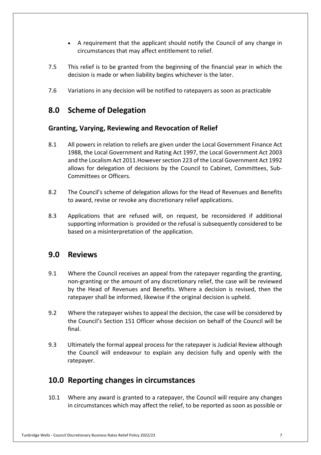- • A requirement that the applicant should notify the Council of any change in circumstances that may affect entitlement to relief.
- 7.5 This relief is to be granted from the beginning of the financial year in which the decision is made or when liability begins whichever is the later.
- 7.6 Variations in any decision will be notified to ratepayers as soon as practicable

## **8.0 Scheme of Delegation**

#### **Granting, Varying, Reviewing and Revocation of Relief**

- 8.1 1988, the Local Government and Rating Act 1997, the Local Government Act 2003 and the Localism Act 2011.However section 223 of the Local Government Act 1992 allows for delegation of decisions by the Council to Cabinet, Committees, Sub- Committees or Officers. All powers in relation to reliefs are given under the Local Government Finance Act
- 8.2 The Council's scheme of delegation allows for the Head of Revenues and Benefits to award, revise or revoke any discretionary relief applications.
- 8.3 Applications that are refused will, on request, be reconsidered if additional supporting information is provided or the refusal is subsequently considered to be based on a misinterpretation of the application.

#### **9.0 Reviews**

- $9.1$  non-granting or the amount of any discretionary relief, the case will be reviewed by the Head of Revenues and Benefits. Where a decision is revised, then the ratepayer shall be informed, likewise if the original decision is upheld. Where the Council receives an appeal from the ratepayer regarding the granting,
- $9.2$  the Council's Section 151 Officer whose decision on behalf of the Council will be Where the ratepayer wishes to appeal the decision, the case will be considered by final.
- 9.3 Ultimately the formal appeal process for the ratepayer is Judicial Review although the Council will endeavour to explain any decision fully and openly with the ratepayer.

## **10.0 Reporting changes in circumstances**

 $10.1$  in circumstances which may affect the relief, to be reported as soon as possible or Where any award is granted to a ratepayer, the Council will require any changes